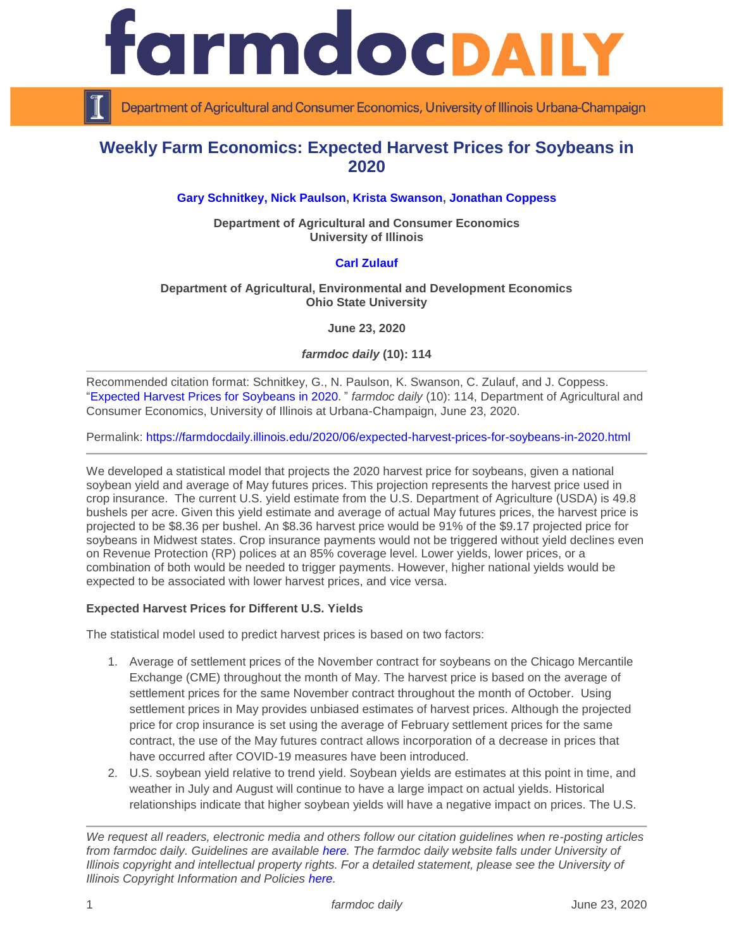

Department of Agricultural and Consumer Economics, University of Illinois Urbana-Champaign

# **Weekly Farm Economics: Expected Harvest Prices for Soybeans in 2020**

## **[Gary Schnitkey,](https://ace.illinois.edu/directory/schnitke) [Nick Paulson,](https://ace.illinois.edu/directory/npaulson) [Krista Swanson,](https://ace.illinois.edu/directory/krista) [Jonathan Coppess](https://ace.illinois.edu/directory/jwcoppes)**

**Department of Agricultural and Consumer Economics University of Illinois**

## **[Carl Zulauf](http://aede.osu.edu/our-people/carl-zulauf)**

#### **Department of Agricultural, Environmental and Development Economics Ohio State University**

**June 23, 2020**

*farmdoc daily* **(10): 114**

Recommended citation format: Schnitkey, G., N. Paulson, K. Swanson, C. Zulauf, and J. Coppess. ["Expected Harvest Prices for Soybeans](https://farmdocdaily.illinois.edu/2020/06/expected-harvest-prices-for-soybeans-in-2020.html) in 2020." *farmdoc daily* (10): 114, Department of Agricultural and Consumer Economics, University of Illinois at Urbana-Champaign, June 23, 2020.

Permalink:<https://farmdocdaily.illinois.edu/2020/06/expected-harvest-prices-for-soybeans-in-2020.html>

We developed a statistical model that projects the 2020 harvest price for sovbeans, given a national soybean yield and average of May futures prices. This projection represents the harvest price used in crop insurance. The current U.S. yield estimate from the U.S. Department of Agriculture (USDA) is 49.8 bushels per acre. Given this yield estimate and average of actual May futures prices, the harvest price is projected to be \$8.36 per bushel. An \$8.36 harvest price would be 91% of the \$9.17 projected price for soybeans in Midwest states. Crop insurance payments would not be triggered without yield declines even on Revenue Protection (RP) polices at an 85% coverage level. Lower yields, lower prices, or a combination of both would be needed to trigger payments. However, higher national yields would be expected to be associated with lower harvest prices, and vice versa.

#### **Expected Harvest Prices for Different U.S. Yields**

The statistical model used to predict harvest prices is based on two factors:

- 1. Average of settlement prices of the November contract for soybeans on the Chicago Mercantile Exchange (CME) throughout the month of May. The harvest price is based on the average of settlement prices for the same November contract throughout the month of October. Using settlement prices in May provides unbiased estimates of harvest prices. Although the projected price for crop insurance is set using the average of February settlement prices for the same contract, the use of the May futures contract allows incorporation of a decrease in prices that have occurred after COVID-19 measures have been introduced.
- 2. U.S. soybean yield relative to trend yield. Soybean yields are estimates at this point in time, and weather in July and August will continue to have a large impact on actual yields. Historical relationships indicate that higher soybean yields will have a negative impact on prices. The U.S.

*We request all readers, electronic media and others follow our citation guidelines when re-posting articles from farmdoc daily. Guidelines are available [here.](http://farmdocdaily.illinois.edu/citationguide.html) The farmdoc daily website falls under University of Illinois copyright and intellectual property rights. For a detailed statement, please see the University of Illinois Copyright Information and Policies [here.](http://www.cio.illinois.edu/policies/copyright/)*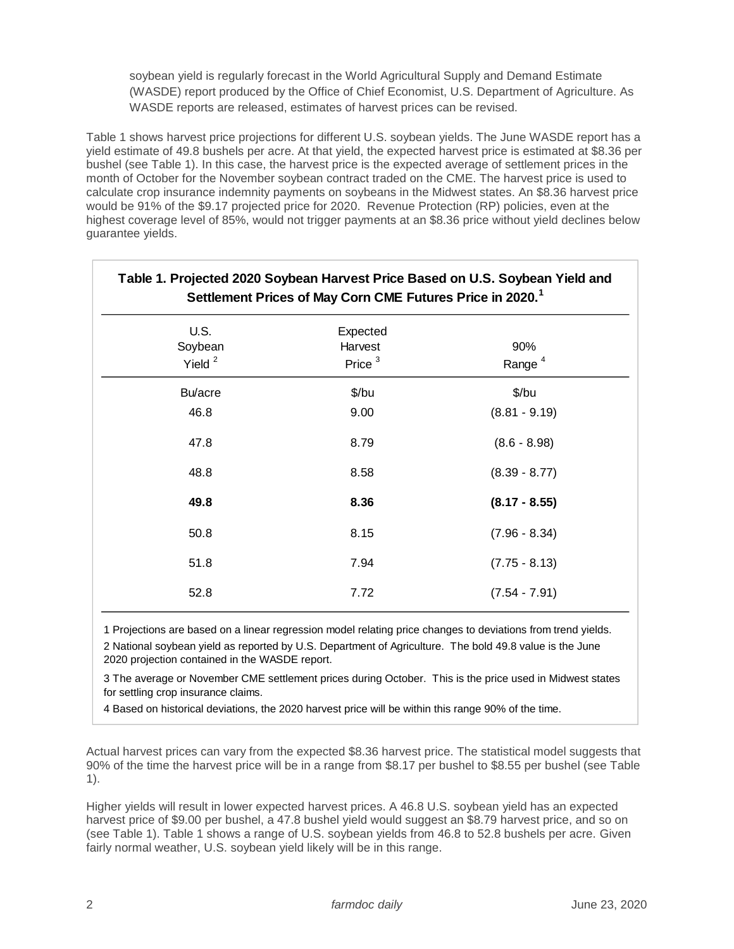soybean yield is regularly forecast in the World Agricultural Supply and Demand Estimate (WASDE) report produced by the Office of Chief Economist, U.S. Department of Agriculture. As WASDE reports are released, estimates of harvest prices can be revised.

Table 1 shows harvest price projections for different U.S. soybean yields. The June WASDE report has a yield estimate of 49.8 bushels per acre. At that yield, the expected harvest price is estimated at \$8.36 per bushel (see Table 1). In this case, the harvest price is the expected average of settlement prices in the month of October for the November soybean contract traded on the CME. The harvest price is used to calculate crop insurance indemnity payments on soybeans in the Midwest states. An \$8.36 harvest price would be 91% of the \$9.17 projected price for 2020. Revenue Protection (RP) policies, even at the highest coverage level of 85%, would not trigger payments at an \$8.36 price without yield declines below guarantee yields.

| Table 1. Projected 2020 Soybean Harvest Price Based on U.S. Soybean Yield and<br>Settlement Prices of May Corn CME Futures Price in 2020. <sup>1</sup> |                                  |                           |
|--------------------------------------------------------------------------------------------------------------------------------------------------------|----------------------------------|---------------------------|
| <b>U.S.</b><br>Soybean<br>Yield $2$                                                                                                                    | Expected<br>Harvest<br>Price $3$ | 90%<br>Range <sup>4</sup> |
| Bu/acre                                                                                                                                                | \$/bu                            | \$/bu                     |
| 46.8                                                                                                                                                   | 9.00                             | $(8.81 - 9.19)$           |
| 47.8                                                                                                                                                   | 8.79                             | $(8.6 - 8.98)$            |
| 48.8                                                                                                                                                   | 8.58                             | $(8.39 - 8.77)$           |
| 49.8                                                                                                                                                   | 8.36                             | $(8.17 - 8.55)$           |
| 50.8                                                                                                                                                   | 8.15                             | $(7.96 - 8.34)$           |
| 51.8                                                                                                                                                   | 7.94                             | $(7.75 - 8.13)$           |
| 52.8                                                                                                                                                   | 7.72                             | $(7.54 - 7.91)$           |

1 Projections are based on a linear regression model relating price changes to deviations from trend yields. 2 National soybean yield as reported by U.S. Department of Agriculture. The bold 49.8 value is the June 2020 projection contained in the WASDE report.

3 The average or November CME settlement prices during October. This is the price used in Midwest states for settling crop insurance claims.

4 Based on historical deviations, the 2020 harvest price will be within this range 90% of the time.

Actual harvest prices can vary from the expected \$8.36 harvest price. The statistical model suggests that 90% of the time the harvest price will be in a range from \$8.17 per bushel to \$8.55 per bushel (see Table 1).

Higher yields will result in lower expected harvest prices. A 46.8 U.S. soybean yield has an expected harvest price of \$9.00 per bushel, a 47.8 bushel yield would suggest an \$8.79 harvest price, and so on (see Table 1). Table 1 shows a range of U.S. soybean yields from 46.8 to 52.8 bushels per acre. Given fairly normal weather, U.S. soybean yield likely will be in this range.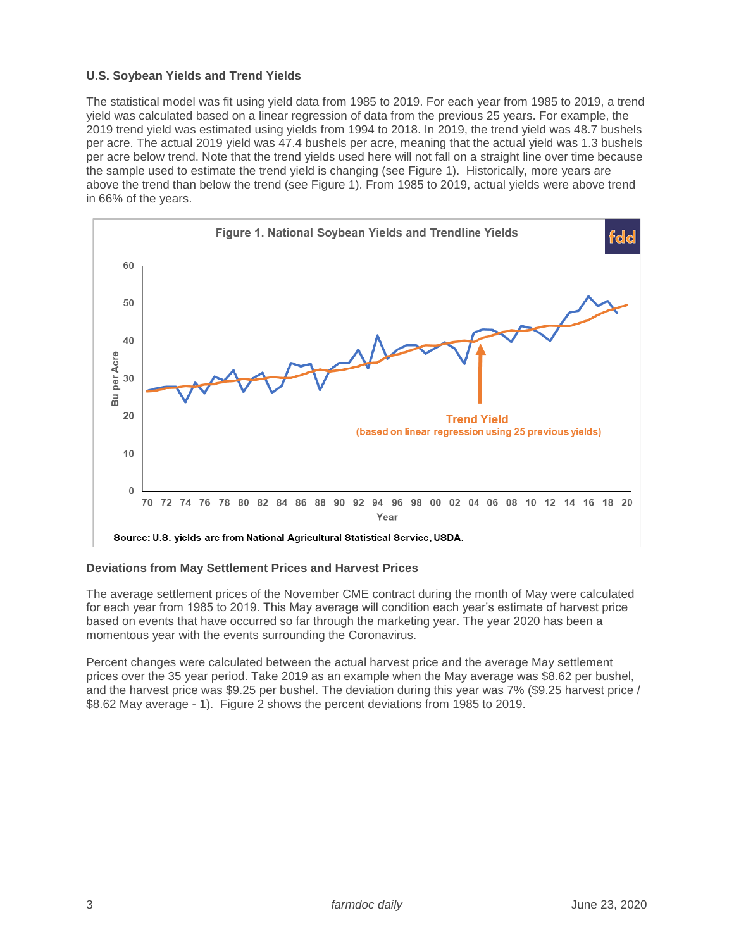## **U.S. Soybean Yields and Trend Yields**

The statistical model was fit using yield data from 1985 to 2019. For each year from 1985 to 2019, a trend yield was calculated based on a linear regression of data from the previous 25 years. For example, the 2019 trend yield was estimated using yields from 1994 to 2018. In 2019, the trend yield was 48.7 bushels per acre. The actual 2019 yield was 47.4 bushels per acre, meaning that the actual yield was 1.3 bushels per acre below trend. Note that the trend yields used here will not fall on a straight line over time because the sample used to estimate the trend yield is changing (see Figure 1). Historically, more years are above the trend than below the trend (see Figure 1). From 1985 to 2019, actual yields were above trend in 66% of the years.



#### **Deviations from May Settlement Prices and Harvest Prices**

The average settlement prices of the November CME contract during the month of May were calculated for each year from 1985 to 2019. This May average will condition each year's estimate of harvest price based on events that have occurred so far through the marketing year. The year 2020 has been a momentous year with the events surrounding the Coronavirus.

Percent changes were calculated between the actual harvest price and the average May settlement prices over the 35 year period. Take 2019 as an example when the May average was \$8.62 per bushel, and the harvest price was \$9.25 per bushel. The deviation during this year was 7% (\$9.25 harvest price / \$8.62 May average - 1). Figure 2 shows the percent deviations from 1985 to 2019.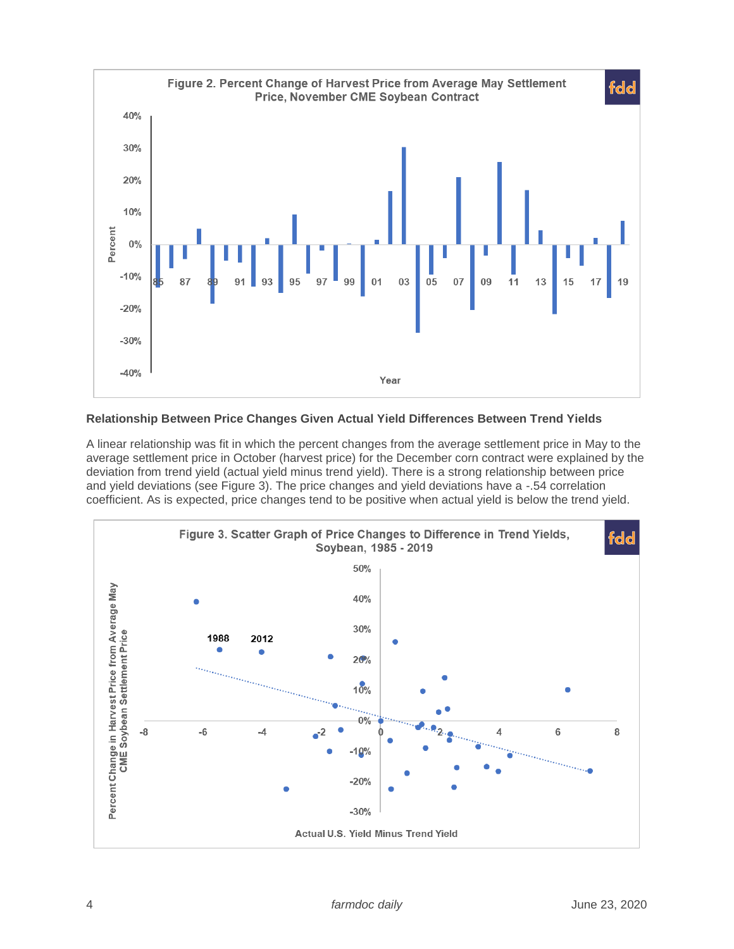

## **Relationship Between Price Changes Given Actual Yield Differences Between Trend Yields**

A linear relationship was fit in which the percent changes from the average settlement price in May to the average settlement price in October (harvest price) for the December corn contract were explained by the deviation from trend yield (actual yield minus trend yield). There is a strong relationship between price and yield deviations (see Figure 3). The price changes and yield deviations have a -.54 correlation coefficient. As is expected, price changes tend to be positive when actual yield is below the trend yield.